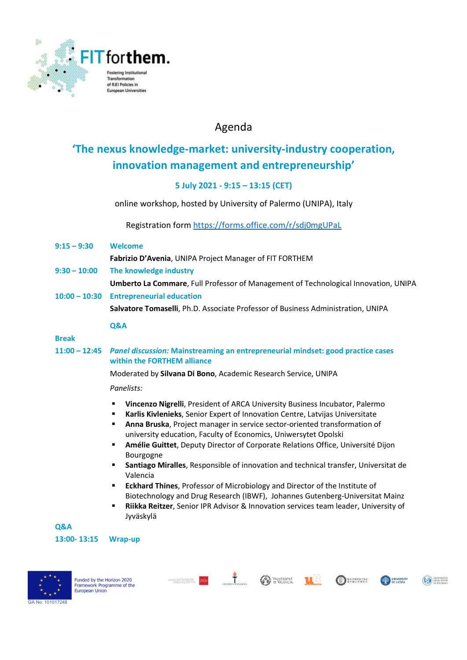

### Agenda

## 'The nexus knowledge-market: university-industry cooperation, innovation management and entrepreneurship'

### 5 July 2021 - 9:15 – 13:15 (CET)

online workshop, hosted by University of Palermo (UNIPA), Italy

Registration form https://forms.office.com/r/sdj0mgUPaL

9:15 – 9:30 Welcome

Fabrizio D'Avenia, UNIPA Project Manager of FIT FORTHEM

- 9:30 10:00 The knowledge industry
	- Umberto La Commare, Full Professor of Management of Technological Innovation, UNIPA
- 10:00 10:30 Entrepreneurial education

Salvatore Tomaselli, Ph.D. Associate Professor of Business Administration, UNIPA

#### Q&A

### Break

11:00 – 12:45 Panel discussion: Mainstreaming an entrepreneurial mindset: good practice cases within the FORTHEM alliance

Moderated by Silvana Di Bono, Academic Research Service, UNIPA

### Panelists:

- Vincenzo Nigrelli, President of ARCA University Business Incubator, Palermo
- Karlis Kivlenieks, Senior Expert of Innovation Centre, Latvijas Universitate
- **Anna Bruska**, Project manager in service sector-oriented transformation of university education, Faculty of Economics, Uniwersytet Opolski
- Amélie Guittet, Deputy Director of Corporate Relations Office, Université Dijon Bourgogne
- Santiago Miralles, Responsible of innovation and technical transfer, Universitat de Valencia
- Eckhard Thines, Professor of Microbiology and Director of the Institute of Biotechnology and Drug Research (IBWF), Johannes Gutenberg-Universitat Mainz
- Riikka Reitzer, Senior IPR Advisor & Innovation services team leader, University of Jyväskylä







 $\ddot{\mathbf{r}}$ 



**TIB**